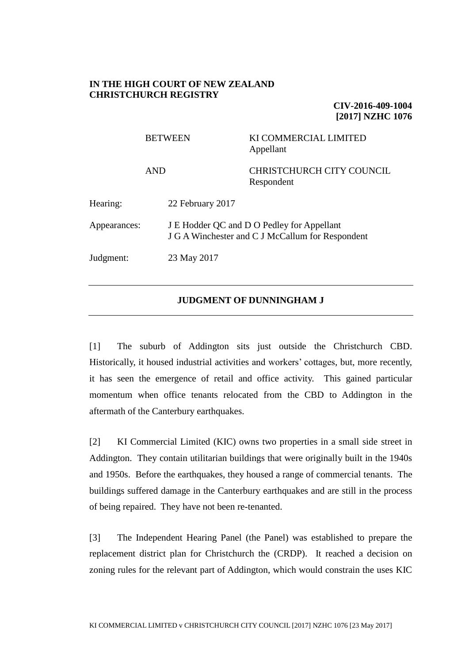### **IN THE HIGH COURT OF NEW ZEALAND CHRISTCHURCH REGISTRY**

**CIV-2016-409-1004 [2017] NZHC 1076**

|              | <b>BETWEEN</b><br><b>AND</b> |                  | KI COMMERCIAL LIMITED<br>Appellant                                                             |
|--------------|------------------------------|------------------|------------------------------------------------------------------------------------------------|
|              |                              |                  | <b>CHRISTCHURCH CITY COUNCIL</b><br>Respondent                                                 |
| Hearing:     |                              | 22 February 2017 |                                                                                                |
| Appearances: |                              |                  | J E Hodder QC and D O Pedley for Appellant<br>J G A Winchester and C J McCallum for Respondent |
| Judgment:    |                              | 23 May 2017      |                                                                                                |
|              |                              |                  |                                                                                                |

### **JUDGMENT OF DUNNINGHAM J**

[1] The suburb of Addington sits just outside the Christchurch CBD. Historically, it housed industrial activities and workers' cottages, but, more recently, it has seen the emergence of retail and office activity. This gained particular momentum when office tenants relocated from the CBD to Addington in the aftermath of the Canterbury earthquakes.

[2] KI Commercial Limited (KIC) owns two properties in a small side street in Addington. They contain utilitarian buildings that were originally built in the 1940s and 1950s. Before the earthquakes, they housed a range of commercial tenants. The buildings suffered damage in the Canterbury earthquakes and are still in the process of being repaired. They have not been re-tenanted.

[3] The Independent Hearing Panel (the Panel) was established to prepare the replacement district plan for Christchurch the (CRDP). It reached a decision on zoning rules for the relevant part of Addington, which would constrain the uses KIC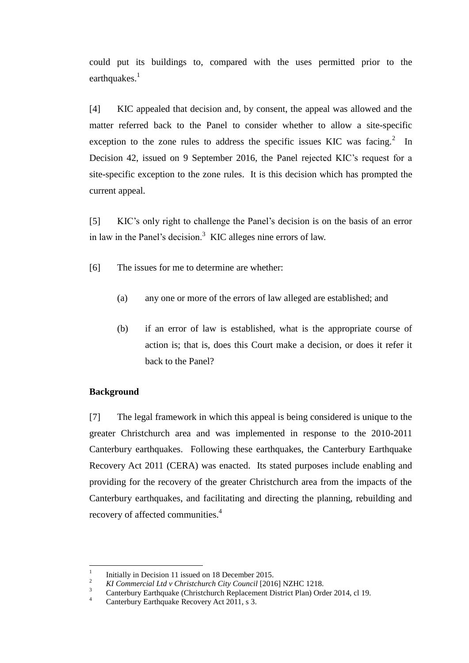could put its buildings to, compared with the uses permitted prior to the earthquakes.<sup>1</sup>

[4] KIC appealed that decision and, by consent, the appeal was allowed and the matter referred back to the Panel to consider whether to allow a site-specific exception to the zone rules to address the specific issues KIC was facing.<sup>2</sup> In Decision 42, issued on 9 September 2016, the Panel rejected KIC's request for a site-specific exception to the zone rules. It is this decision which has prompted the current appeal.

[5] KIC's only right to challenge the Panel's decision is on the basis of an error in law in the Panel's decision.<sup>3</sup> KIC alleges nine errors of law.

[6] The issues for me to determine are whether:

- (a) any one or more of the errors of law alleged are established; and
- (b) if an error of law is established, what is the appropriate course of action is; that is, does this Court make a decision, or does it refer it back to the Panel?

# **Background**

[7] The legal framework in which this appeal is being considered is unique to the greater Christchurch area and was implemented in response to the 2010-2011 Canterbury earthquakes. Following these earthquakes, the Canterbury Earthquake Recovery Act 2011 (CERA) was enacted. Its stated purposes include enabling and providing for the recovery of the greater Christchurch area from the impacts of the Canterbury earthquakes, and facilitating and directing the planning, rebuilding and recovery of affected communities.<sup>4</sup>

 $\frac{1}{1}$ Initially in Decision 11 issued on 18 December 2015.

<sup>&</sup>lt;sup>2</sup> *KI Commercial Ltd v Christchurch City Council* [2016] NZHC 1218.

 $\frac{3}{4}$  Canterbury Earthquake (Christchurch Replacement District Plan) Order 2014, cl 19.

Canterbury Earthquake Recovery Act 2011, s 3.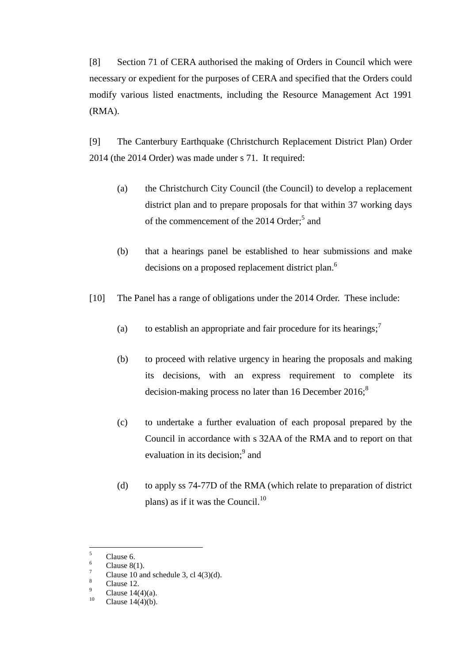[8] Section 71 of CERA authorised the making of Orders in Council which were necessary or expedient for the purposes of CERA and specified that the Orders could modify various listed enactments, including the Resource Management Act 1991 (RMA).

[9] The Canterbury Earthquake (Christchurch Replacement District Plan) Order 2014 (the 2014 Order) was made under s 71. It required:

- (a) the Christchurch City Council (the Council) to develop a replacement district plan and to prepare proposals for that within 37 working days of the commencement of the 2014 Order;<sup>5</sup> and
- (b) that a hearings panel be established to hear submissions and make decisions on a proposed replacement district plan.<sup>6</sup>
- [10] The Panel has a range of obligations under the 2014 Order. These include:
	- (a) to establish an appropriate and fair procedure for its hearings;<sup>7</sup>
	- (b) to proceed with relative urgency in hearing the proposals and making its decisions, with an express requirement to complete its decision-making process no later than 16 December 2016; $\delta$
	- (c) to undertake a further evaluation of each proposal prepared by the Council in accordance with s 32AA of the RMA and to report on that evaluation in its decision;<sup>9</sup> and
	- (d) to apply ss 74-77D of the RMA (which relate to preparation of district plans) as if it was the Council. $^{10}$

<sup>5</sup>  $\frac{5}{6}$  Clause 6.

 $\frac{6}{7}$  Clause 8(1).

 $\frac{7}{8}$  Clause 10 and schedule 3, cl 4(3)(d).

 $\frac{8}{9}$  Clause 12.

<sup>&</sup>lt;sup>9</sup> Clause 14(4)(a).

Clause  $14(4)(b)$ .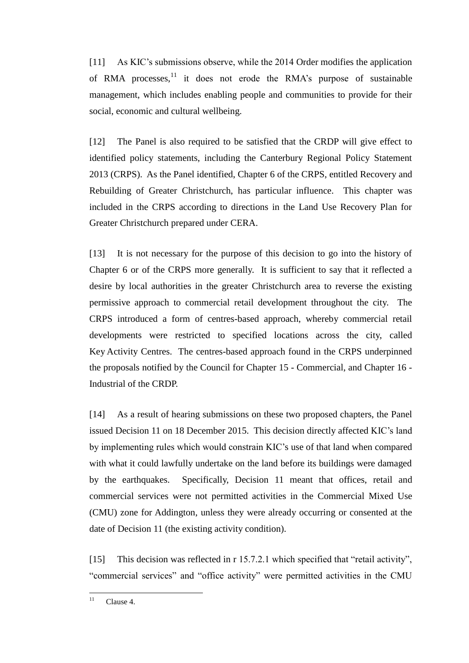[11] As KIC's submissions observe, while the 2014 Order modifies the application of RMA processes, $^{11}$  it does not erode the RMA's purpose of sustainable management, which includes enabling people and communities to provide for their social, economic and cultural wellbeing.

[12] The Panel is also required to be satisfied that the CRDP will give effect to identified policy statements, including the Canterbury Regional Policy Statement 2013 (CRPS). As the Panel identified, Chapter 6 of the CRPS, entitled Recovery and Rebuilding of Greater Christchurch, has particular influence. This chapter was included in the CRPS according to directions in the Land Use Recovery Plan for Greater Christchurch prepared under CERA.

[13] It is not necessary for the purpose of this decision to go into the history of Chapter 6 or of the CRPS more generally. It is sufficient to say that it reflected a desire by local authorities in the greater Christchurch area to reverse the existing permissive approach to commercial retail development throughout the city. The CRPS introduced a form of centres-based approach, whereby commercial retail developments were restricted to specified locations across the city, called Key Activity Centres. The centres-based approach found in the CRPS underpinned the proposals notified by the Council for Chapter 15 - Commercial, and Chapter 16 - Industrial of the CRDP.

[14] As a result of hearing submissions on these two proposed chapters, the Panel issued Decision 11 on 18 December 2015. This decision directly affected KIC's land by implementing rules which would constrain KIC's use of that land when compared with what it could lawfully undertake on the land before its buildings were damaged by the earthquakes. Specifically, Decision 11 meant that offices, retail and commercial services were not permitted activities in the Commercial Mixed Use (CMU) zone for Addington, unless they were already occurring or consented at the date of Decision 11 (the existing activity condition).

[15] This decision was reflected in r 15.7.2.1 which specified that "retail activity", "commercial services" and "office activity" were permitted activities in the CMU

 $11$ Clause 4.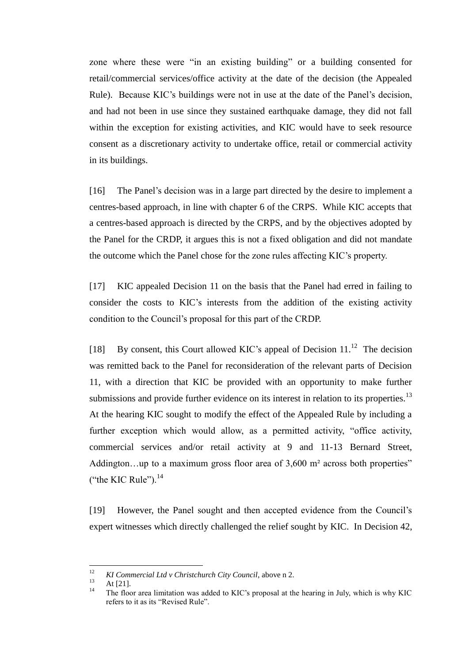zone where these were "in an existing building" or a building consented for retail/commercial services/office activity at the date of the decision (the Appealed Rule). Because KIC's buildings were not in use at the date of the Panel's decision, and had not been in use since they sustained earthquake damage, they did not fall within the exception for existing activities, and KIC would have to seek resource consent as a discretionary activity to undertake office, retail or commercial activity in its buildings.

[16] The Panel's decision was in a large part directed by the desire to implement a centres-based approach, in line with chapter 6 of the CRPS. While KIC accepts that a centres-based approach is directed by the CRPS, and by the objectives adopted by the Panel for the CRDP, it argues this is not a fixed obligation and did not mandate the outcome which the Panel chose for the zone rules affecting KIC's property.

[17] KIC appealed Decision 11 on the basis that the Panel had erred in failing to consider the costs to KIC's interests from the addition of the existing activity condition to the Council's proposal for this part of the CRDP.

[18] By consent, this Court allowed KIC's appeal of Decision  $11.^{12}$  The decision was remitted back to the Panel for reconsideration of the relevant parts of Decision 11, with a direction that KIC be provided with an opportunity to make further submissions and provide further evidence on its interest in relation to its properties.<sup>13</sup> At the hearing KIC sought to modify the effect of the Appealed Rule by including a further exception which would allow, as a permitted activity, "office activity, commercial services and/or retail activity at 9 and 11-13 Bernard Street, Addington...up to a maximum gross floor area of 3,600 m<sup>2</sup> across both properties" ("the KIC Rule"). $^{14}$ 

[19] However, the Panel sought and then accepted evidence from the Council's expert witnesses which directly challenged the relief sought by KIC. In Decision 42,

 $12$ <sup>12</sup> *KI Commercial Ltd v Christchurch City Council*, above n 2.

 $13$  At [21].

<sup>14</sup> The floor area limitation was added to KIC's proposal at the hearing in July, which is why KIC refers to it as its "Revised Rule".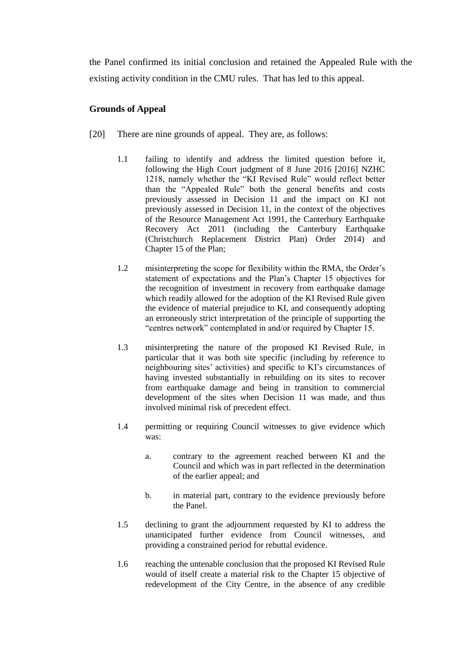the Panel confirmed its initial conclusion and retained the Appealed Rule with the existing activity condition in the CMU rules. That has led to this appeal.

# **Grounds of Appeal**

- [20] There are nine grounds of appeal. They are, as follows:
	- 1.1 failing to identify and address the limited question before it, following the High Court judgment of 8 June 2016 [2016] NZHC 1218, namely whether the "KI Revised Rule" would reflect better than the "Appealed Rule" both the general benefits and costs previously assessed in Decision 11 and the impact on KI not previously assessed in Decision 11, in the context of the objectives of the Resource Management Act 1991, the Canterbury Earthquake Recovery Act 2011 (including the Canterbury Earthquake (Christchurch Replacement District Plan) Order 2014) and Chapter 15 of the Plan;
	- 1.2 misinterpreting the scope for flexibility within the RMA, the Order's statement of expectations and the Plan's Chapter 15 objectives for the recognition of investment in recovery from earthquake damage which readily allowed for the adoption of the KI Revised Rule given the evidence of material prejudice to KI, and consequently adopting an erroneously strict interpretation of the principle of supporting the "centres network" contemplated in and/or required by Chapter 15.
	- 1.3 misinterpreting the nature of the proposed KI Revised Rule, in particular that it was both site specific (including by reference to neighbouring sites' activities) and specific to KI's circumstances of having invested substantially in rebuilding on its sites to recover from earthquake damage and being in transition to commercial development of the sites when Decision 11 was made, and thus involved minimal risk of precedent effect.
	- 1.4 permitting or requiring Council witnesses to give evidence which was:
		- a. contrary to the agreement reached between KI and the Council and which was in part reflected in the determination of the earlier appeal; and
		- b. in material part, contrary to the evidence previously before the Panel.
	- 1.5 declining to grant the adjournment requested by KI to address the unanticipated further evidence from Council witnesses, and providing a constrained period for rebuttal evidence.
	- 1.6 reaching the untenable conclusion that the proposed KI Revised Rule would of itself create a material risk to the Chapter 15 objective of redevelopment of the City Centre, in the absence of any credible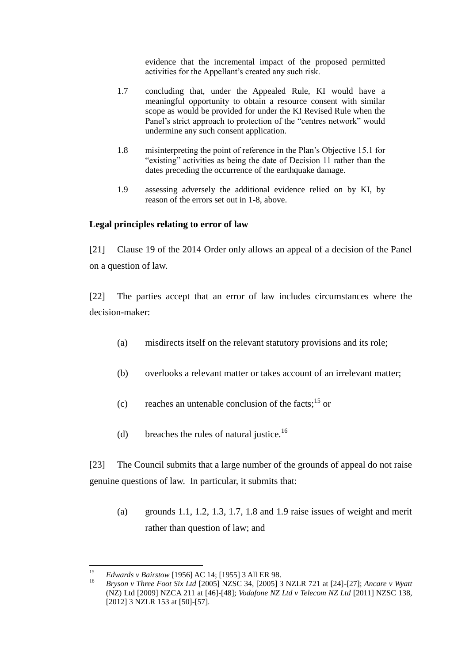evidence that the incremental impact of the proposed permitted activities for the Appellant's created any such risk.

- 1.7 concluding that, under the Appealed Rule, KI would have a meaningful opportunity to obtain a resource consent with similar scope as would be provided for under the KI Revised Rule when the Panel's strict approach to protection of the "centres network" would undermine any such consent application.
- 1.8 misinterpreting the point of reference in the Plan's Objective 15.1 for "existing" activities as being the date of Decision 11 rather than the dates preceding the occurrence of the earthquake damage.
- 1.9 assessing adversely the additional evidence relied on by KI, by reason of the errors set out in 1-8, above.

### **Legal principles relating to error of law**

[21] Clause 19 of the 2014 Order only allows an appeal of a decision of the Panel on a question of law.

[22] The parties accept that an error of law includes circumstances where the decision-maker:

- (a) misdirects itself on the relevant statutory provisions and its role;
- (b) overlooks a relevant matter or takes account of an irrelevant matter;
- (c) reaches an untenable conclusion of the facts;  $15$  or
- (d) breaches the rules of natural justice.<sup>16</sup>

[23] The Council submits that a large number of the grounds of appeal do not raise genuine questions of law. In particular, it submits that:

(a) grounds 1.1, 1.2, 1.3, 1.7, 1.8 and 1.9 raise issues of weight and merit rather than question of law; and

 $15$ <sup>15</sup> *Edwards v Bairstow* [1956] AC 14; [1955] 3 All ER 98.

<sup>16</sup> *Bryson v Three Foot Six Ltd* [2005] NZSC 34, [2005] 3 NZLR 721 at [24]-[27]; *Ancare v Wyatt* (NZ) Ltd [2009] NZCA 211 at [46]-[48]; *Vodafone NZ Ltd v Telecom NZ Ltd* [2011] NZSC 138, [2012] 3 NZLR 153 at [50]-[57].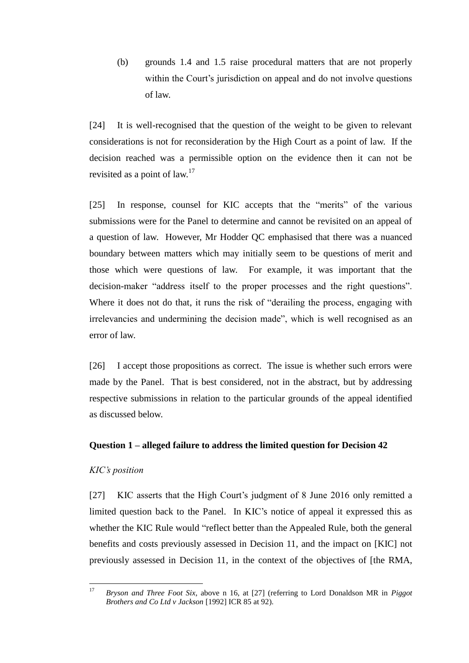(b) grounds 1.4 and 1.5 raise procedural matters that are not properly within the Court's jurisdiction on appeal and do not involve questions of law.

[24] It is well-recognised that the question of the weight to be given to relevant considerations is not for reconsideration by the High Court as a point of law. If the decision reached was a permissible option on the evidence then it can not be revisited as a point of law.<sup>17</sup>

[25] In response, counsel for KIC accepts that the "merits" of the various submissions were for the Panel to determine and cannot be revisited on an appeal of a question of law. However, Mr Hodder QC emphasised that there was a nuanced boundary between matters which may initially seem to be questions of merit and those which were questions of law. For example, it was important that the decision-maker "address itself to the proper processes and the right questions". Where it does not do that, it runs the risk of "derailing the process, engaging with irrelevancies and undermining the decision made", which is well recognised as an error of law.

[26] I accept those propositions as correct. The issue is whether such errors were made by the Panel. That is best considered, not in the abstract, but by addressing respective submissions in relation to the particular grounds of the appeal identified as discussed below.

# **Question 1 – alleged failure to address the limited question for Decision 42**

#### *KIC's position*

[27] KIC asserts that the High Court's judgment of 8 June 2016 only remitted a limited question back to the Panel. In KIC's notice of appeal it expressed this as whether the KIC Rule would "reflect better than the Appealed Rule, both the general benefits and costs previously assessed in Decision 11, and the impact on [KIC] not previously assessed in Decision 11, in the context of the objectives of [the RMA,

 $17$ <sup>17</sup> *Bryson and Three Foot Six*, above n 16, at [27] (referring to Lord Donaldson MR in *Piggot Brothers and Co Ltd v Jackson* [1992] ICR 85 at 92).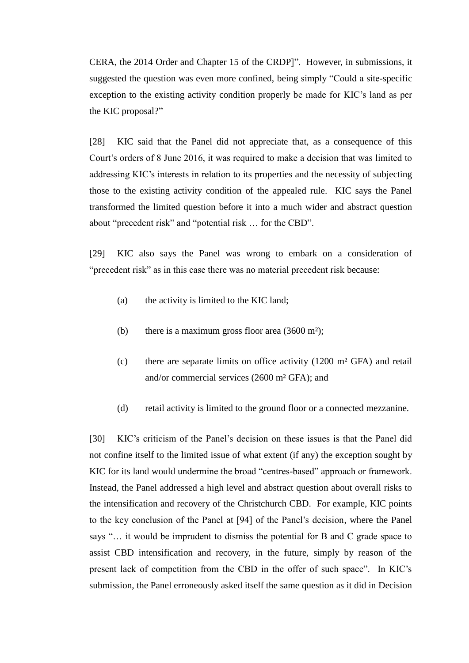CERA, the 2014 Order and Chapter 15 of the CRDP]". However, in submissions, it suggested the question was even more confined, being simply "Could a site-specific exception to the existing activity condition properly be made for KIC's land as per the KIC proposal?"

[28] KIC said that the Panel did not appreciate that, as a consequence of this Court's orders of 8 June 2016, it was required to make a decision that was limited to addressing KIC's interests in relation to its properties and the necessity of subjecting those to the existing activity condition of the appealed rule. KIC says the Panel transformed the limited question before it into a much wider and abstract question about "precedent risk" and "potential risk … for the CBD".

[29] KIC also says the Panel was wrong to embark on a consideration of "precedent risk" as in this case there was no material precedent risk because:

- (a) the activity is limited to the KIC land;
- (b) there is a maximum gross floor area  $(3600 \text{ m}^2)$ ;
- (c) there are separate limits on office activity (1200 m² GFA) and retail and/or commercial services (2600 m² GFA); and
- (d) retail activity is limited to the ground floor or a connected mezzanine.

[30] KIC's criticism of the Panel's decision on these issues is that the Panel did not confine itself to the limited issue of what extent (if any) the exception sought by KIC for its land would undermine the broad "centres-based" approach or framework. Instead, the Panel addressed a high level and abstract question about overall risks to the intensification and recovery of the Christchurch CBD. For example, KIC points to the key conclusion of the Panel at [94] of the Panel's decision, where the Panel says "… it would be imprudent to dismiss the potential for B and C grade space to assist CBD intensification and recovery, in the future, simply by reason of the present lack of competition from the CBD in the offer of such space". In KIC's submission, the Panel erroneously asked itself the same question as it did in Decision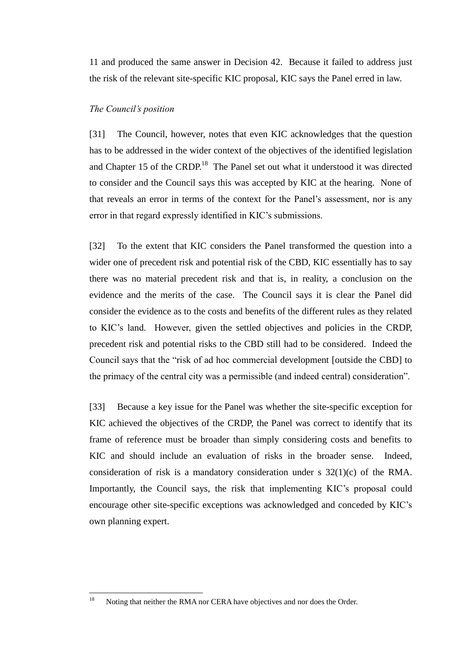11 and produced the same answer in Decision 42. Because it failed to address just the risk of the relevant site-specific KIC proposal, KIC says the Panel erred in law.

### *The Council's position*

[31] The Council, however, notes that even KIC acknowledges that the question has to be addressed in the wider context of the objectives of the identified legislation and Chapter 15 of the CRDP.<sup>18</sup> The Panel set out what it understood it was directed to consider and the Council says this was accepted by KIC at the hearing. None of that reveals an error in terms of the context for the Panel's assessment, nor is any error in that regard expressly identified in KIC's submissions.

[32] To the extent that KIC considers the Panel transformed the question into a wider one of precedent risk and potential risk of the CBD, KIC essentially has to say there was no material precedent risk and that is, in reality, a conclusion on the evidence and the merits of the case. The Council says it is clear the Panel did consider the evidence as to the costs and benefits of the different rules as they related to KIC's land. However, given the settled objectives and policies in the CRDP, precedent risk and potential risks to the CBD still had to be considered. Indeed the Council says that the "risk of ad hoc commercial development [outside the CBD] to the primacy of the central city was a permissible (and indeed central) consideration".

[33] Because a key issue for the Panel was whether the site-specific exception for KIC achieved the objectives of the CRDP, the Panel was correct to identify that its frame of reference must be broader than simply considering costs and benefits to KIC and should include an evaluation of risks in the broader sense. Indeed, consideration of risk is a mandatory consideration under s 32(1)(c) of the RMA. Importantly, the Council says, the risk that implementing KIC's proposal could encourage other site-specific exceptions was acknowledged and conceded by KIC's own planning expert.

<sup>18</sup> Noting that neither the RMA nor CERA have objectives and nor does the Order.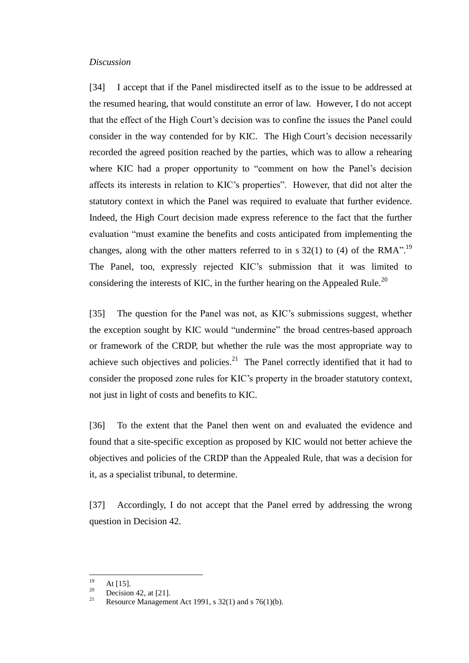#### *Discussion*

[34] I accept that if the Panel misdirected itself as to the issue to be addressed at the resumed hearing, that would constitute an error of law. However, I do not accept that the effect of the High Court's decision was to confine the issues the Panel could consider in the way contended for by KIC. The High Court's decision necessarily recorded the agreed position reached by the parties, which was to allow a rehearing where KIC had a proper opportunity to "comment on how the Panel's decision affects its interests in relation to KIC's properties". However, that did not alter the statutory context in which the Panel was required to evaluate that further evidence. Indeed, the High Court decision made express reference to the fact that the further evaluation "must examine the benefits and costs anticipated from implementing the changes, along with the other matters referred to in s 32(1) to (4) of the RMA".<sup>19</sup> The Panel, too, expressly rejected KIC's submission that it was limited to considering the interests of KIC, in the further hearing on the Appealed Rule.<sup>20</sup>

[35] The question for the Panel was not, as KIC's submissions suggest, whether the exception sought by KIC would "undermine" the broad centres-based approach or framework of the CRDP, but whether the rule was the most appropriate way to achieve such objectives and policies. $21$  The Panel correctly identified that it had to consider the proposed zone rules for KIC's property in the broader statutory context, not just in light of costs and benefits to KIC.

[36] To the extent that the Panel then went on and evaluated the evidence and found that a site-specific exception as proposed by KIC would not better achieve the objectives and policies of the CRDP than the Appealed Rule, that was a decision for it, as a specialist tribunal, to determine.

[37] Accordingly, I do not accept that the Panel erred by addressing the wrong question in Decision 42.

<sup>19</sup>  $19$  At [15].

 $\frac{20}{21}$  Decision 42, at [21].

Resource Management Act 1991, s  $32(1)$  and s  $76(1)(b)$ .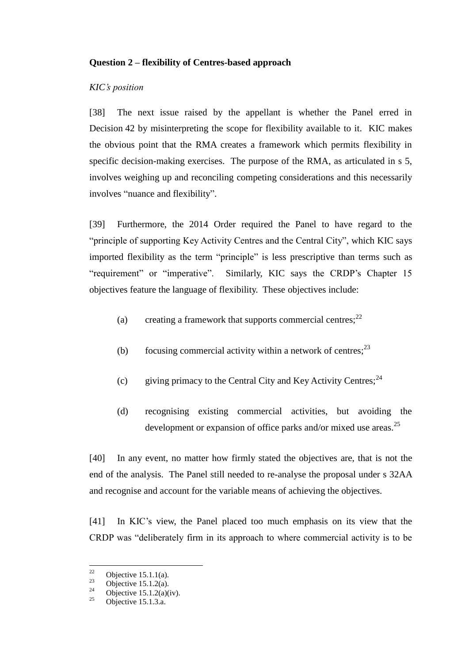### **Question 2 – flexibility of Centres-based approach**

### *KIC's position*

[38] The next issue raised by the appellant is whether the Panel erred in Decision 42 by misinterpreting the scope for flexibility available to it. KIC makes the obvious point that the RMA creates a framework which permits flexibility in specific decision-making exercises. The purpose of the RMA, as articulated in s 5, involves weighing up and reconciling competing considerations and this necessarily involves "nuance and flexibility".

[39] Furthermore, the 2014 Order required the Panel to have regard to the "principle of supporting Key Activity Centres and the Central City", which KIC says imported flexibility as the term "principle" is less prescriptive than terms such as "requirement" or "imperative". Similarly, KIC says the CRDP's Chapter 15 objectives feature the language of flexibility. These objectives include:

- (a) creating a framework that supports commercial centres;  $2^2$
- (b) focusing commercial activity within a network of centres;  $2<sup>3</sup>$
- (c) giving primacy to the Central City and Key Activity Centres;  $^{24}$
- (d) recognising existing commercial activities, but avoiding the development or expansion of office parks and/or mixed use areas.<sup>25</sup>

[40] In any event, no matter how firmly stated the objectives are, that is not the end of the analysis. The Panel still needed to re-analyse the proposal under s 32AA and recognise and account for the variable means of achieving the objectives.

[41] In KIC's view, the Panel placed too much emphasis on its view that the CRDP was "deliberately firm in its approach to where commercial activity is to be

 $22$  $\frac{22}{23}$  Objective 15.1.1(a).

<sup>&</sup>lt;sup>23</sup> Objective 15.1.2(a).

<sup>&</sup>lt;sup>24</sup> Objective 15.1.2(a)(iv).<br><sup>25</sup> Objective 15.1.2.e.

Objective 15.1.3.a.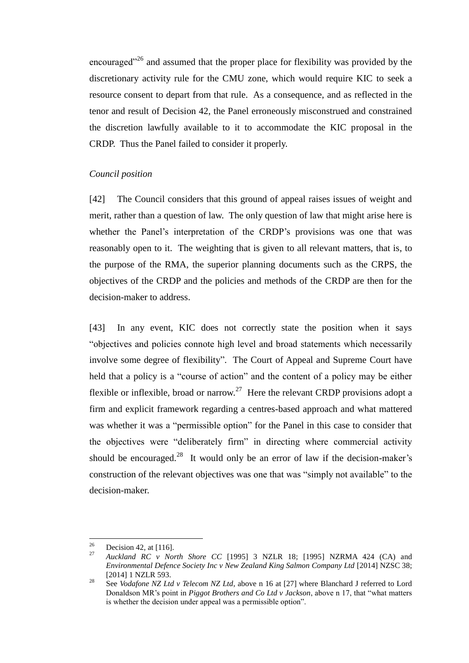encouraged"<sup>26</sup> and assumed that the proper place for flexibility was provided by the discretionary activity rule for the CMU zone, which would require KIC to seek a resource consent to depart from that rule. As a consequence, and as reflected in the tenor and result of Decision 42, the Panel erroneously misconstrued and constrained the discretion lawfully available to it to accommodate the KIC proposal in the CRDP. Thus the Panel failed to consider it properly.

#### *Council position*

[42] The Council considers that this ground of appeal raises issues of weight and merit, rather than a question of law. The only question of law that might arise here is whether the Panel's interpretation of the CRDP's provisions was one that was reasonably open to it. The weighting that is given to all relevant matters, that is, to the purpose of the RMA, the superior planning documents such as the CRPS, the objectives of the CRDP and the policies and methods of the CRDP are then for the decision-maker to address.

[43] In any event, KIC does not correctly state the position when it says "objectives and policies connote high level and broad statements which necessarily involve some degree of flexibility". The Court of Appeal and Supreme Court have held that a policy is a "course of action" and the content of a policy may be either flexible or inflexible, broad or narrow.<sup>27</sup> Here the relevant CRDP provisions adopt a firm and explicit framework regarding a centres-based approach and what mattered was whether it was a "permissible option" for the Panel in this case to consider that the objectives were "deliberately firm" in directing where commercial activity should be encouraged.<sup>28</sup> It would only be an error of law if the decision-maker's construction of the relevant objectives was one that was "simply not available" to the decision-maker.

<sup>26</sup>  $\frac{26}{27}$  Decision 42, at [116].

<sup>27</sup> *Auckland RC v North Shore CC* [1995] 3 NZLR 18; [1995] NZRMA 424 (CA) and *Environmental Defence Society Inc v New Zealand King Salmon Company Ltd* [2014] NZSC 38; [2014] 1 NZLR 593.

<sup>&</sup>lt;sup>28</sup> See *Vodafone NZ Ltd v Telecom NZ Ltd*, above n 16 at [27] where Blanchard J referred to Lord Donaldson MR's point in *Piggot Brothers and Co Ltd v Jackson*, above n 17, that "what matters is whether the decision under appeal was a permissible option".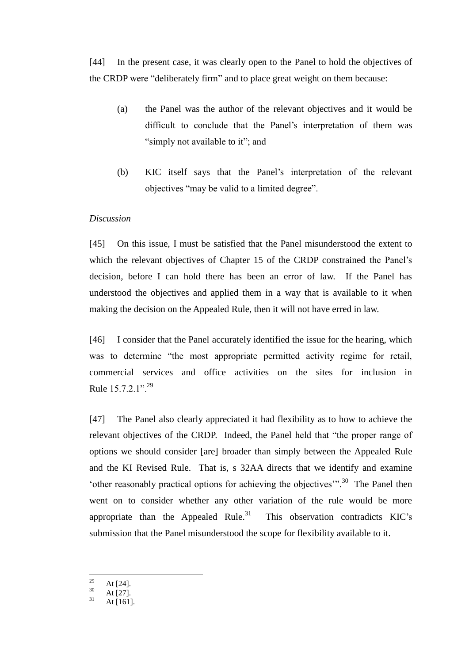[44] In the present case, it was clearly open to the Panel to hold the objectives of the CRDP were "deliberately firm" and to place great weight on them because:

- (a) the Panel was the author of the relevant objectives and it would be difficult to conclude that the Panel's interpretation of them was "simply not available to it"; and
- (b) KIC itself says that the Panel's interpretation of the relevant objectives "may be valid to a limited degree".

#### *Discussion*

[45] On this issue, I must be satisfied that the Panel misunderstood the extent to which the relevant objectives of Chapter 15 of the CRDP constrained the Panel's decision, before I can hold there has been an error of law. If the Panel has understood the objectives and applied them in a way that is available to it when making the decision on the Appealed Rule, then it will not have erred in law.

[46] I consider that the Panel accurately identified the issue for the hearing, which was to determine "the most appropriate permitted activity regime for retail, commercial services and office activities on the sites for inclusion in Rule  $15.7.2.1$ ".<sup>29</sup>

[47] The Panel also clearly appreciated it had flexibility as to how to achieve the relevant objectives of the CRDP. Indeed, the Panel held that "the proper range of options we should consider [are] broader than simply between the Appealed Rule and the KI Revised Rule. That is, s 32AA directs that we identify and examine 'other reasonably practical options for achieving the objectives'".<sup>30</sup> The Panel then went on to consider whether any other variation of the rule would be more appropriate than the Appealed Rule. $31$  This observation contradicts KIC's submission that the Panel misunderstood the scope for flexibility available to it.

29  $\frac{29}{30}$  At [24].

 $\frac{30}{31}$  At [27].

At [161].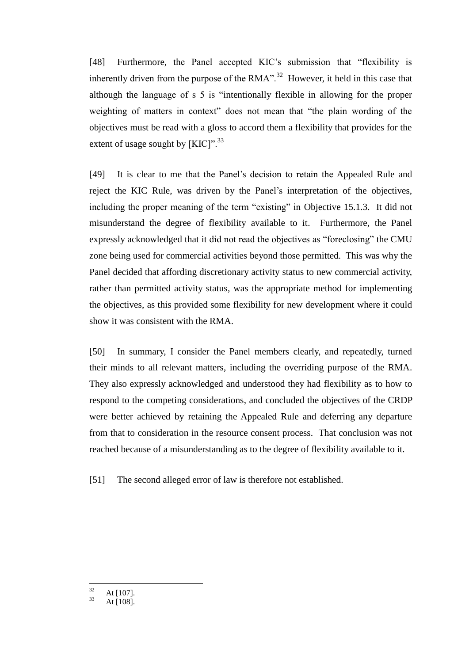[48] Furthermore, the Panel accepted KIC's submission that "flexibility is inherently driven from the purpose of the  $RMA$ ".<sup>32</sup> However, it held in this case that although the language of s 5 is "intentionally flexible in allowing for the proper weighting of matters in context" does not mean that "the plain wording of the objectives must be read with a gloss to accord them a flexibility that provides for the extent of usage sought by [KIC]".<sup>33</sup>

[49] It is clear to me that the Panel's decision to retain the Appealed Rule and reject the KIC Rule, was driven by the Panel's interpretation of the objectives, including the proper meaning of the term "existing" in Objective 15.1.3. It did not misunderstand the degree of flexibility available to it. Furthermore, the Panel expressly acknowledged that it did not read the objectives as "foreclosing" the CMU zone being used for commercial activities beyond those permitted. This was why the Panel decided that affording discretionary activity status to new commercial activity, rather than permitted activity status, was the appropriate method for implementing the objectives, as this provided some flexibility for new development where it could show it was consistent with the RMA.

[50] In summary, I consider the Panel members clearly, and repeatedly, turned their minds to all relevant matters, including the overriding purpose of the RMA. They also expressly acknowledged and understood they had flexibility as to how to respond to the competing considerations, and concluded the objectives of the CRDP were better achieved by retaining the Appealed Rule and deferring any departure from that to consideration in the resource consent process. That conclusion was not reached because of a misunderstanding as to the degree of flexibility available to it.

[51] The second alleged error of law is therefore not established.

 $32$  $\frac{32}{33}$  At [107].

At [108].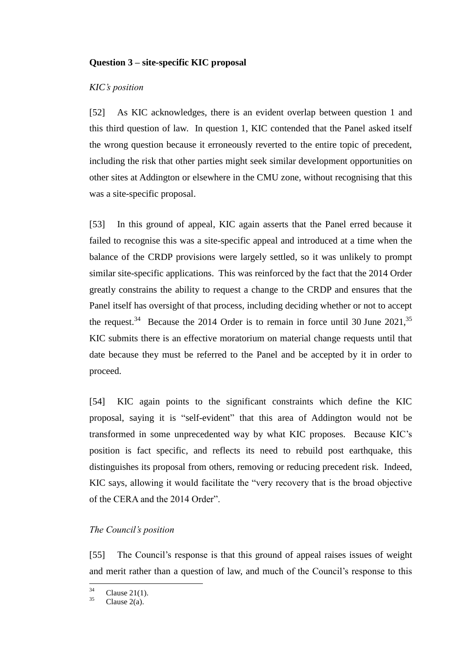### **Question 3 – site-specific KIC proposal**

### *KIC's position*

[52] As KIC acknowledges, there is an evident overlap between question 1 and this third question of law. In question 1, KIC contended that the Panel asked itself the wrong question because it erroneously reverted to the entire topic of precedent, including the risk that other parties might seek similar development opportunities on other sites at Addington or elsewhere in the CMU zone, without recognising that this was a site-specific proposal.

[53] In this ground of appeal, KIC again asserts that the Panel erred because it failed to recognise this was a site-specific appeal and introduced at a time when the balance of the CRDP provisions were largely settled, so it was unlikely to prompt similar site-specific applications. This was reinforced by the fact that the 2014 Order greatly constrains the ability to request a change to the CRDP and ensures that the Panel itself has oversight of that process, including deciding whether or not to accept the request.<sup>34</sup> Because the 2014 Order is to remain in force until 30 June 2021,<sup>35</sup> KIC submits there is an effective moratorium on material change requests until that date because they must be referred to the Panel and be accepted by it in order to proceed.

[54] KIC again points to the significant constraints which define the KIC proposal, saying it is "self-evident" that this area of Addington would not be transformed in some unprecedented way by what KIC proposes. Because KIC's position is fact specific, and reflects its need to rebuild post earthquake, this distinguishes its proposal from others, removing or reducing precedent risk. Indeed, KIC says, allowing it would facilitate the "very recovery that is the broad objective of the CERA and the 2014 Order".

### *The Council's position*

[55] The Council's response is that this ground of appeal raises issues of weight and merit rather than a question of law, and much of the Council's response to this

 $34$  $^{34}$  Clause 21(1).

Clause  $2(a)$ .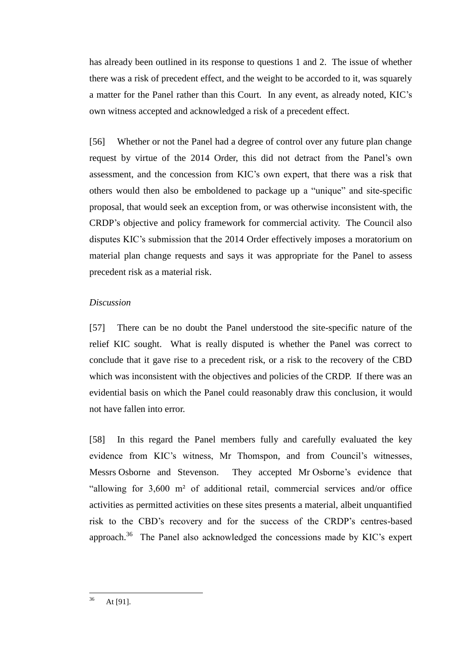has already been outlined in its response to questions 1 and 2. The issue of whether there was a risk of precedent effect, and the weight to be accorded to it, was squarely a matter for the Panel rather than this Court. In any event, as already noted, KIC's own witness accepted and acknowledged a risk of a precedent effect.

[56] Whether or not the Panel had a degree of control over any future plan change request by virtue of the 2014 Order, this did not detract from the Panel's own assessment, and the concession from KIC's own expert, that there was a risk that others would then also be emboldened to package up a "unique" and site-specific proposal, that would seek an exception from, or was otherwise inconsistent with, the CRDP's objective and policy framework for commercial activity. The Council also disputes KIC's submission that the 2014 Order effectively imposes a moratorium on material plan change requests and says it was appropriate for the Panel to assess precedent risk as a material risk.

### *Discussion*

[57] There can be no doubt the Panel understood the site-specific nature of the relief KIC sought. What is really disputed is whether the Panel was correct to conclude that it gave rise to a precedent risk, or a risk to the recovery of the CBD which was inconsistent with the objectives and policies of the CRDP. If there was an evidential basis on which the Panel could reasonably draw this conclusion, it would not have fallen into error.

[58] In this regard the Panel members fully and carefully evaluated the key evidence from KIC's witness, Mr Thomspon, and from Council's witnesses, Messrs Osborne and Stevenson. They accepted Mr Osborne's evidence that "allowing for 3,600 m² of additional retail, commercial services and/or office activities as permitted activities on these sites presents a material, albeit unquantified risk to the CBD's recovery and for the success of the CRDP's centres-based approach.<sup>36</sup> The Panel also acknowledged the concessions made by KIC's expert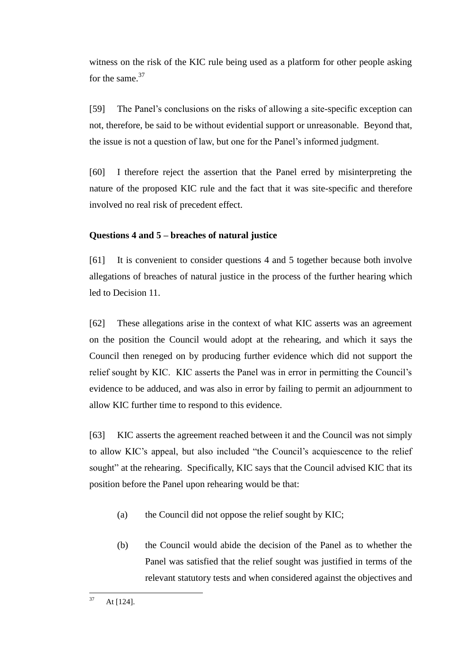witness on the risk of the KIC rule being used as a platform for other people asking for the same.<sup>37</sup>

[59] The Panel's conclusions on the risks of allowing a site-specific exception can not, therefore, be said to be without evidential support or unreasonable. Beyond that, the issue is not a question of law, but one for the Panel's informed judgment.

[60] I therefore reject the assertion that the Panel erred by misinterpreting the nature of the proposed KIC rule and the fact that it was site-specific and therefore involved no real risk of precedent effect.

# **Questions 4 and 5 – breaches of natural justice**

[61] It is convenient to consider questions 4 and 5 together because both involve allegations of breaches of natural justice in the process of the further hearing which led to Decision 11.

[62] These allegations arise in the context of what KIC asserts was an agreement on the position the Council would adopt at the rehearing, and which it says the Council then reneged on by producing further evidence which did not support the relief sought by KIC. KIC asserts the Panel was in error in permitting the Council's evidence to be adduced, and was also in error by failing to permit an adjournment to allow KIC further time to respond to this evidence.

[63] KIC asserts the agreement reached between it and the Council was not simply to allow KIC's appeal, but also included "the Council's acquiescence to the relief sought" at the rehearing. Specifically, KIC says that the Council advised KIC that its position before the Panel upon rehearing would be that:

- (a) the Council did not oppose the relief sought by KIC;
- (b) the Council would abide the decision of the Panel as to whether the Panel was satisfied that the relief sought was justified in terms of the relevant statutory tests and when considered against the objectives and

 $37$ At [124].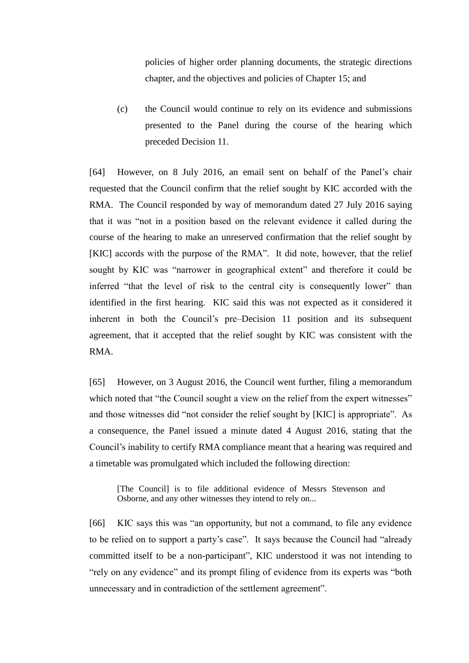policies of higher order planning documents, the strategic directions chapter, and the objectives and policies of Chapter 15; and

(c) the Council would continue to rely on its evidence and submissions presented to the Panel during the course of the hearing which preceded Decision 11.

[64] However, on 8 July 2016, an email sent on behalf of the Panel's chair requested that the Council confirm that the relief sought by KIC accorded with the RMA. The Council responded by way of memorandum dated 27 July 2016 saying that it was "not in a position based on the relevant evidence it called during the course of the hearing to make an unreserved confirmation that the relief sought by [KIC] accords with the purpose of the RMA". It did note, however, that the relief sought by KIC was "narrower in geographical extent" and therefore it could be inferred "that the level of risk to the central city is consequently lower" than identified in the first hearing. KIC said this was not expected as it considered it inherent in both the Council's pre–Decision 11 position and its subsequent agreement, that it accepted that the relief sought by KIC was consistent with the RMA.

[65] However, on 3 August 2016, the Council went further, filing a memorandum which noted that "the Council sought a view on the relief from the expert witnesses" and those witnesses did "not consider the relief sought by [KIC] is appropriate". As a consequence, the Panel issued a minute dated 4 August 2016, stating that the Council's inability to certify RMA compliance meant that a hearing was required and a timetable was promulgated which included the following direction:

[The Council] is to file additional evidence of Messrs Stevenson and Osborne, and any other witnesses they intend to rely on...

[66] KIC says this was "an opportunity, but not a command, to file any evidence to be relied on to support a party's case". It says because the Council had "already committed itself to be a non-participant", KIC understood it was not intending to "rely on any evidence" and its prompt filing of evidence from its experts was "both unnecessary and in contradiction of the settlement agreement".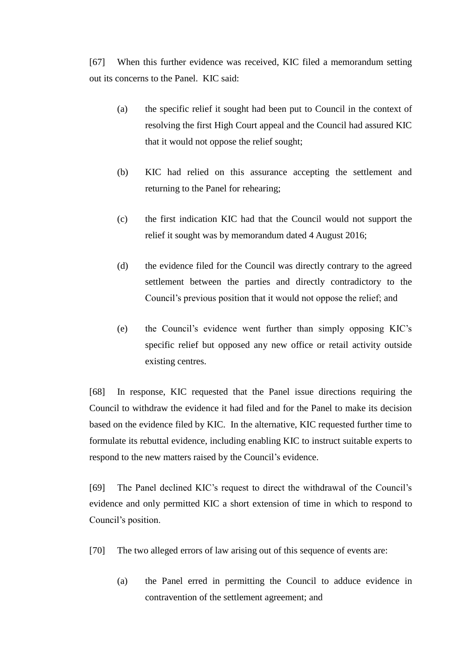[67] When this further evidence was received, KIC filed a memorandum setting out its concerns to the Panel. KIC said:

- (a) the specific relief it sought had been put to Council in the context of resolving the first High Court appeal and the Council had assured KIC that it would not oppose the relief sought;
- (b) KIC had relied on this assurance accepting the settlement and returning to the Panel for rehearing;
- (c) the first indication KIC had that the Council would not support the relief it sought was by memorandum dated 4 August 2016;
- (d) the evidence filed for the Council was directly contrary to the agreed settlement between the parties and directly contradictory to the Council's previous position that it would not oppose the relief; and
- (e) the Council's evidence went further than simply opposing KIC's specific relief but opposed any new office or retail activity outside existing centres.

[68] In response, KIC requested that the Panel issue directions requiring the Council to withdraw the evidence it had filed and for the Panel to make its decision based on the evidence filed by KIC. In the alternative, KIC requested further time to formulate its rebuttal evidence, including enabling KIC to instruct suitable experts to respond to the new matters raised by the Council's evidence.

[69] The Panel declined KIC's request to direct the withdrawal of the Council's evidence and only permitted KIC a short extension of time in which to respond to Council's position.

- [70] The two alleged errors of law arising out of this sequence of events are:
	- (a) the Panel erred in permitting the Council to adduce evidence in contravention of the settlement agreement; and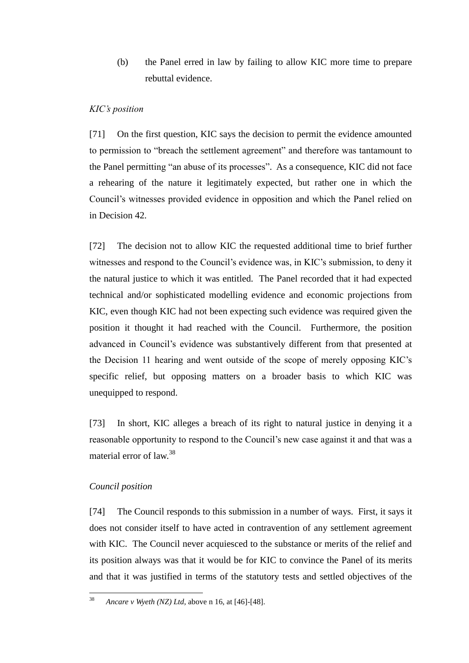(b) the Panel erred in law by failing to allow KIC more time to prepare rebuttal evidence.

### *KIC's position*

[71] On the first question, KIC says the decision to permit the evidence amounted to permission to "breach the settlement agreement" and therefore was tantamount to the Panel permitting "an abuse of its processes". As a consequence, KIC did not face a rehearing of the nature it legitimately expected, but rather one in which the Council's witnesses provided evidence in opposition and which the Panel relied on in Decision 42.

[72] The decision not to allow KIC the requested additional time to brief further witnesses and respond to the Council's evidence was, in KIC's submission, to deny it the natural justice to which it was entitled. The Panel recorded that it had expected technical and/or sophisticated modelling evidence and economic projections from KIC, even though KIC had not been expecting such evidence was required given the position it thought it had reached with the Council. Furthermore, the position advanced in Council's evidence was substantively different from that presented at the Decision 11 hearing and went outside of the scope of merely opposing KIC's specific relief, but opposing matters on a broader basis to which KIC was unequipped to respond.

[73] In short, KIC alleges a breach of its right to natural justice in denying it a reasonable opportunity to respond to the Council's new case against it and that was a material error of law.<sup>38</sup>

### *Council position*

[74] The Council responds to this submission in a number of ways. First, it says it does not consider itself to have acted in contravention of any settlement agreement with KIC. The Council never acquiesced to the substance or merits of the relief and its position always was that it would be for KIC to convince the Panel of its merits and that it was justified in terms of the statutory tests and settled objectives of the

38 <sup>38</sup> *Ancare v Wyeth (NZ) Ltd*, above n 16, at [46]-[48].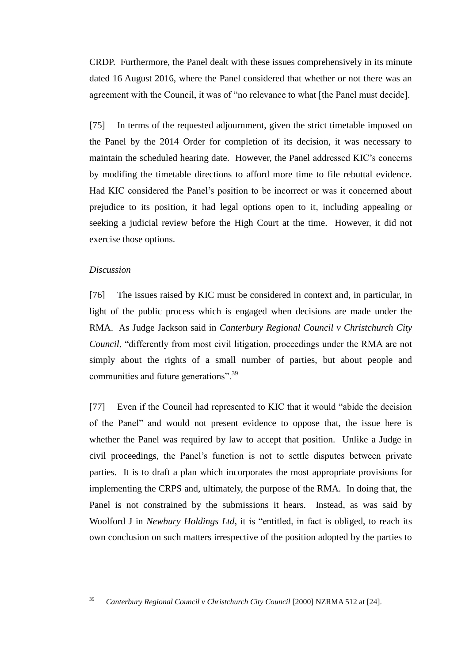CRDP. Furthermore, the Panel dealt with these issues comprehensively in its minute dated 16 August 2016, where the Panel considered that whether or not there was an agreement with the Council, it was of "no relevance to what [the Panel must decide].

[75] In terms of the requested adjournment, given the strict timetable imposed on the Panel by the 2014 Order for completion of its decision, it was necessary to maintain the scheduled hearing date. However, the Panel addressed KIC's concerns by modifing the timetable directions to afford more time to file rebuttal evidence. Had KIC considered the Panel's position to be incorrect or was it concerned about prejudice to its position, it had legal options open to it, including appealing or seeking a judicial review before the High Court at the time. However, it did not exercise those options.

#### *Discussion*

[76] The issues raised by KIC must be considered in context and, in particular, in light of the public process which is engaged when decisions are made under the RMA. As Judge Jackson said in *Canterbury Regional Council v Christchurch City Council*, "differently from most civil litigation, proceedings under the RMA are not simply about the rights of a small number of parties, but about people and communities and future generations".<sup>39</sup>

[77] Even if the Council had represented to KIC that it would "abide the decision of the Panel" and would not present evidence to oppose that, the issue here is whether the Panel was required by law to accept that position. Unlike a Judge in civil proceedings, the Panel's function is not to settle disputes between private parties. It is to draft a plan which incorporates the most appropriate provisions for implementing the CRPS and, ultimately, the purpose of the RMA. In doing that, the Panel is not constrained by the submissions it hears. Instead, as was said by Woolford J in *Newbury Holdings Ltd*, it is "entitled, in fact is obliged, to reach its own conclusion on such matters irrespective of the position adopted by the parties to

<sup>39</sup> <sup>39</sup> *Canterbury Regional Council v Christchurch City Council* [2000] NZRMA 512 at [24].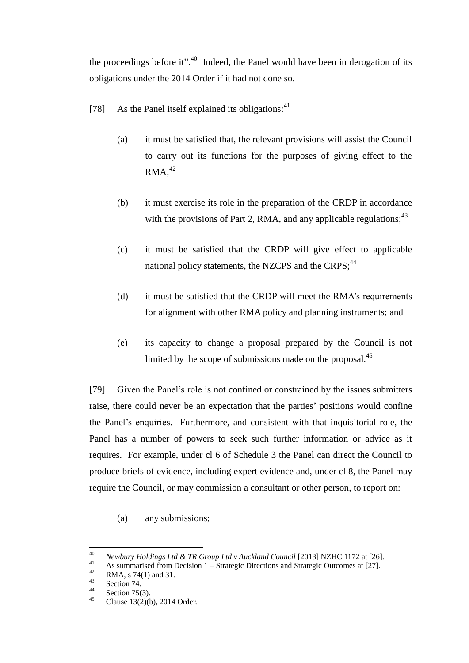the proceedings before it".<sup>40</sup> Indeed, the Panel would have been in derogation of its obligations under the 2014 Order if it had not done so.

- [78] As the Panel itself explained its obligations: $41$ 
	- (a) it must be satisfied that, the relevant provisions will assist the Council to carry out its functions for the purposes of giving effect to the  $RMA:^{42}$
	- (b) it must exercise its role in the preparation of the CRDP in accordance with the provisions of Part 2, RMA, and any applicable regulations;  $43$
	- (c) it must be satisfied that the CRDP will give effect to applicable national policy statements, the NZCPS and the CRPS;<sup>44</sup>
	- (d) it must be satisfied that the CRDP will meet the RMA's requirements for alignment with other RMA policy and planning instruments; and
	- (e) its capacity to change a proposal prepared by the Council is not limited by the scope of submissions made on the proposal.<sup>45</sup>

[79] Given the Panel's role is not confined or constrained by the issues submitters raise, there could never be an expectation that the parties' positions would confine the Panel's enquiries. Furthermore, and consistent with that inquisitorial role, the Panel has a number of powers to seek such further information or advice as it requires. For example, under cl 6 of Schedule 3 the Panel can direct the Council to produce briefs of evidence, including expert evidence and, under cl 8, the Panel may require the Council, or may commission a consultant or other person, to report on:

(a) any submissions;

 $40$ <sup>40</sup> *Newbury Holdings Ltd & TR Group Ltd v Auckland Council* [2013] NZHC 1172 at [26].

<sup>&</sup>lt;sup>41</sup> As summarised from Decision 1 – Strategic Directions and Strategic Outcomes at [27].

<sup>&</sup>lt;sup>42</sup> RMA, s 74(1) and 31.

 $\frac{43}{44}$  Section 74.

 $\frac{44}{45}$  Section 75(3).

Clause 13(2)(b), 2014 Order.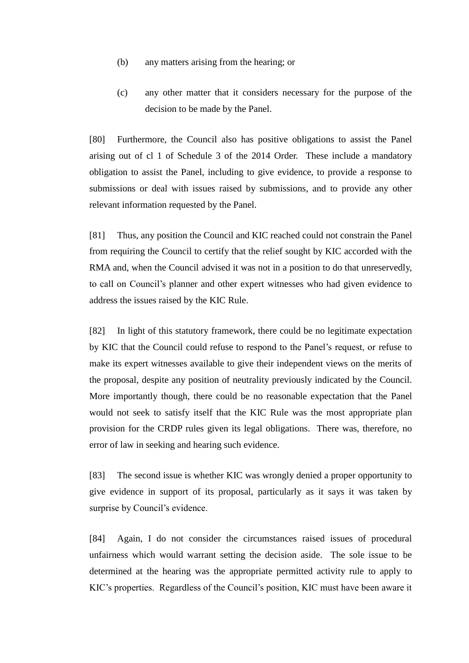- (b) any matters arising from the hearing; or
- (c) any other matter that it considers necessary for the purpose of the decision to be made by the Panel.

[80] Furthermore, the Council also has positive obligations to assist the Panel arising out of cl 1 of Schedule 3 of the 2014 Order. These include a mandatory obligation to assist the Panel, including to give evidence, to provide a response to submissions or deal with issues raised by submissions, and to provide any other relevant information requested by the Panel.

[81] Thus, any position the Council and KIC reached could not constrain the Panel from requiring the Council to certify that the relief sought by KIC accorded with the RMA and, when the Council advised it was not in a position to do that unreservedly, to call on Council's planner and other expert witnesses who had given evidence to address the issues raised by the KIC Rule.

[82] In light of this statutory framework, there could be no legitimate expectation by KIC that the Council could refuse to respond to the Panel's request, or refuse to make its expert witnesses available to give their independent views on the merits of the proposal, despite any position of neutrality previously indicated by the Council. More importantly though, there could be no reasonable expectation that the Panel would not seek to satisfy itself that the KIC Rule was the most appropriate plan provision for the CRDP rules given its legal obligations. There was, therefore, no error of law in seeking and hearing such evidence.

[83] The second issue is whether KIC was wrongly denied a proper opportunity to give evidence in support of its proposal, particularly as it says it was taken by surprise by Council's evidence.

[84] Again, I do not consider the circumstances raised issues of procedural unfairness which would warrant setting the decision aside. The sole issue to be determined at the hearing was the appropriate permitted activity rule to apply to KIC's properties. Regardless of the Council's position, KIC must have been aware it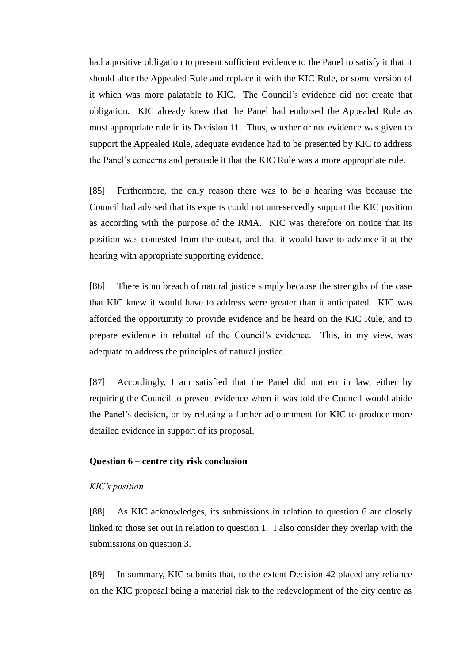had a positive obligation to present sufficient evidence to the Panel to satisfy it that it should alter the Appealed Rule and replace it with the KIC Rule, or some version of it which was more palatable to KIC. The Council's evidence did not create that obligation. KIC already knew that the Panel had endorsed the Appealed Rule as most appropriate rule in its Decision 11. Thus, whether or not evidence was given to support the Appealed Rule, adequate evidence had to be presented by KIC to address the Panel's concerns and persuade it that the KIC Rule was a more appropriate rule.

[85] Furthermore, the only reason there was to be a hearing was because the Council had advised that its experts could not unreservedly support the KIC position as according with the purpose of the RMA. KIC was therefore on notice that its position was contested from the outset, and that it would have to advance it at the hearing with appropriate supporting evidence.

[86] There is no breach of natural justice simply because the strengths of the case that KIC knew it would have to address were greater than it anticipated. KIC was afforded the opportunity to provide evidence and be heard on the KIC Rule, and to prepare evidence in rebuttal of the Council's evidence. This, in my view, was adequate to address the principles of natural justice.

[87] Accordingly, I am satisfied that the Panel did not err in law, either by requiring the Council to present evidence when it was told the Council would abide the Panel's decision, or by refusing a further adjournment for KIC to produce more detailed evidence in support of its proposal.

#### **Question 6 – centre city risk conclusion**

### *KIC's position*

[88] As KIC acknowledges, its submissions in relation to question 6 are closely linked to those set out in relation to question 1. I also consider they overlap with the submissions on question 3.

[89] In summary, KIC submits that, to the extent Decision 42 placed any reliance on the KIC proposal being a material risk to the redevelopment of the city centre as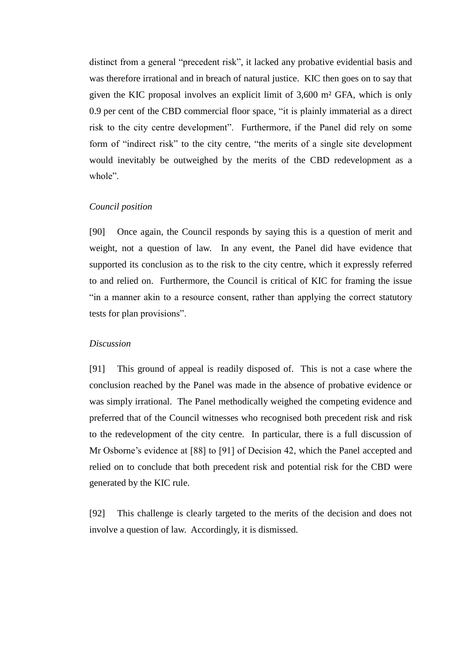distinct from a general "precedent risk", it lacked any probative evidential basis and was therefore irrational and in breach of natural justice. KIC then goes on to say that given the KIC proposal involves an explicit limit of 3,600 m² GFA, which is only 0.9 per cent of the CBD commercial floor space, "it is plainly immaterial as a direct risk to the city centre development". Furthermore, if the Panel did rely on some form of "indirect risk" to the city centre, "the merits of a single site development would inevitably be outweighed by the merits of the CBD redevelopment as a whole".

### *Council position*

[90] Once again, the Council responds by saying this is a question of merit and weight, not a question of law. In any event, the Panel did have evidence that supported its conclusion as to the risk to the city centre, which it expressly referred to and relied on. Furthermore, the Council is critical of KIC for framing the issue "in a manner akin to a resource consent, rather than applying the correct statutory tests for plan provisions".

#### *Discussion*

[91] This ground of appeal is readily disposed of. This is not a case where the conclusion reached by the Panel was made in the absence of probative evidence or was simply irrational. The Panel methodically weighed the competing evidence and preferred that of the Council witnesses who recognised both precedent risk and risk to the redevelopment of the city centre. In particular, there is a full discussion of Mr Osborne's evidence at [88] to [91] of Decision 42, which the Panel accepted and relied on to conclude that both precedent risk and potential risk for the CBD were generated by the KIC rule.

[92] This challenge is clearly targeted to the merits of the decision and does not involve a question of law. Accordingly, it is dismissed.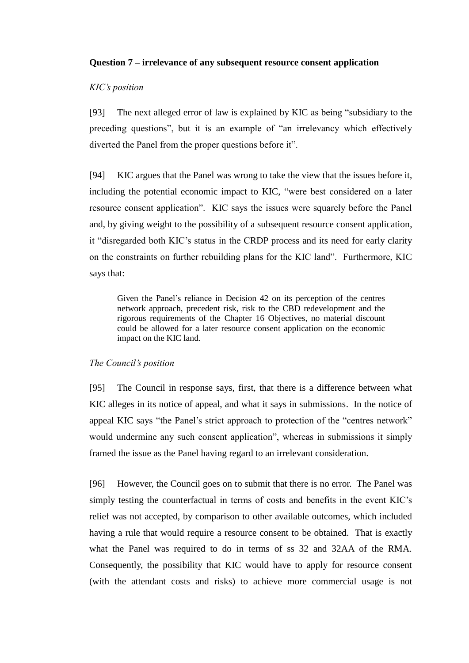### **Question 7 – irrelevance of any subsequent resource consent application**

### *KIC's position*

[93] The next alleged error of law is explained by KIC as being "subsidiary to the preceding questions", but it is an example of "an irrelevancy which effectively diverted the Panel from the proper questions before it".

[94] KIC argues that the Panel was wrong to take the view that the issues before it, including the potential economic impact to KIC, "were best considered on a later resource consent application". KIC says the issues were squarely before the Panel and, by giving weight to the possibility of a subsequent resource consent application, it "disregarded both KIC's status in the CRDP process and its need for early clarity on the constraints on further rebuilding plans for the KIC land". Furthermore, KIC says that:

Given the Panel's reliance in Decision 42 on its perception of the centres network approach, precedent risk, risk to the CBD redevelopment and the rigorous requirements of the Chapter 16 Objectives, no material discount could be allowed for a later resource consent application on the economic impact on the KIC land.

### *The Council's position*

[95] The Council in response says, first, that there is a difference between what KIC alleges in its notice of appeal, and what it says in submissions. In the notice of appeal KIC says "the Panel's strict approach to protection of the "centres network" would undermine any such consent application", whereas in submissions it simply framed the issue as the Panel having regard to an irrelevant consideration.

[96] However, the Council goes on to submit that there is no error. The Panel was simply testing the counterfactual in terms of costs and benefits in the event KIC's relief was not accepted, by comparison to other available outcomes, which included having a rule that would require a resource consent to be obtained. That is exactly what the Panel was required to do in terms of ss 32 and 32AA of the RMA. Consequently, the possibility that KIC would have to apply for resource consent (with the attendant costs and risks) to achieve more commercial usage is not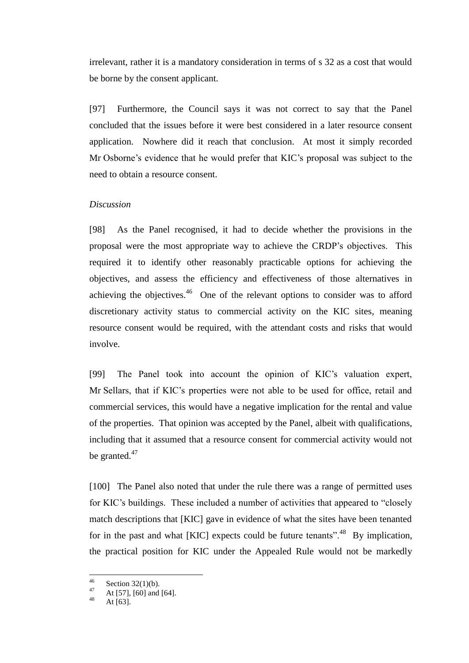irrelevant, rather it is a mandatory consideration in terms of s 32 as a cost that would be borne by the consent applicant.

[97] Furthermore, the Council says it was not correct to say that the Panel concluded that the issues before it were best considered in a later resource consent application. Nowhere did it reach that conclusion. At most it simply recorded Mr Osborne's evidence that he would prefer that KIC's proposal was subject to the need to obtain a resource consent.

### *Discussion*

[98] As the Panel recognised, it had to decide whether the provisions in the proposal were the most appropriate way to achieve the CRDP's objectives. This required it to identify other reasonably practicable options for achieving the objectives, and assess the efficiency and effectiveness of those alternatives in achieving the objectives.<sup>46</sup> One of the relevant options to consider was to afford discretionary activity status to commercial activity on the KIC sites, meaning resource consent would be required, with the attendant costs and risks that would involve.

[99] The Panel took into account the opinion of KIC's valuation expert, Mr Sellars, that if KIC's properties were not able to be used for office, retail and commercial services, this would have a negative implication for the rental and value of the properties. That opinion was accepted by the Panel, albeit with qualifications, including that it assumed that a resource consent for commercial activity would not be granted.<sup>47</sup>

[100] The Panel also noted that under the rule there was a range of permitted uses for KIC's buildings. These included a number of activities that appeared to "closely match descriptions that [KIC] gave in evidence of what the sites have been tenanted for in the past and what  $[KIC]$  expects could be future tenants".<sup>48</sup> By implication, the practical position for KIC under the Appealed Rule would not be markedly

<sup>46</sup>  $^{46}$  Section 32(1)(b).

<sup>&</sup>lt;sup>47</sup> At [57], [60] and [64].

At  $[63]$ .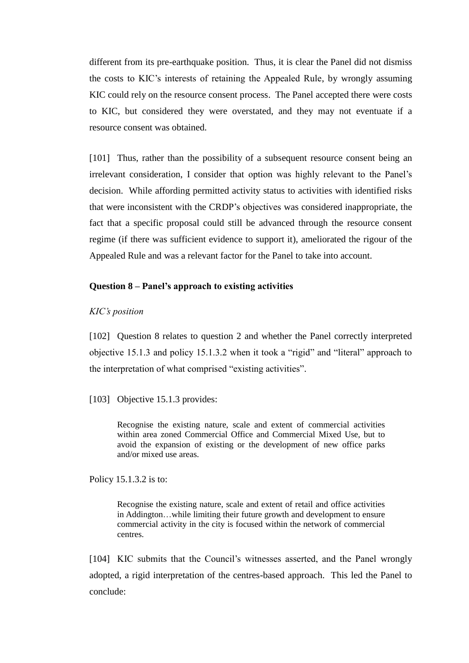different from its pre-earthquake position. Thus, it is clear the Panel did not dismiss the costs to KIC's interests of retaining the Appealed Rule, by wrongly assuming KIC could rely on the resource consent process. The Panel accepted there were costs to KIC, but considered they were overstated, and they may not eventuate if a resource consent was obtained.

[101] Thus, rather than the possibility of a subsequent resource consent being an irrelevant consideration, I consider that option was highly relevant to the Panel's decision. While affording permitted activity status to activities with identified risks that were inconsistent with the CRDP's objectives was considered inappropriate, the fact that a specific proposal could still be advanced through the resource consent regime (if there was sufficient evidence to support it), ameliorated the rigour of the Appealed Rule and was a relevant factor for the Panel to take into account.

### **Question 8 – Panel's approach to existing activities**

#### *KIC's position*

[102] Question 8 relates to question 2 and whether the Panel correctly interpreted objective 15.1.3 and policy 15.1.3.2 when it took a "rigid" and "literal" approach to the interpretation of what comprised "existing activities".

[103] Objective 15.1.3 provides:

Recognise the existing nature, scale and extent of commercial activities within area zoned Commercial Office and Commercial Mixed Use, but to avoid the expansion of existing or the development of new office parks and/or mixed use areas.

Policy 15.1.3.2 is to:

Recognise the existing nature, scale and extent of retail and office activities in Addington…while limiting their future growth and development to ensure commercial activity in the city is focused within the network of commercial centres.

[104] KIC submits that the Council's witnesses asserted, and the Panel wrongly adopted, a rigid interpretation of the centres-based approach. This led the Panel to conclude: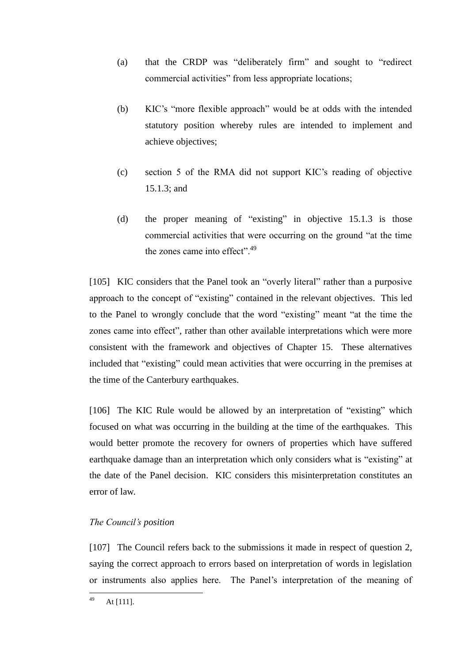- (a) that the CRDP was "deliberately firm" and sought to "redirect commercial activities" from less appropriate locations;
- (b) KIC's "more flexible approach" would be at odds with the intended statutory position whereby rules are intended to implement and achieve objectives;
- (c) section 5 of the RMA did not support KIC's reading of objective 15.1.3; and
- (d) the proper meaning of "existing" in objective 15.1.3 is those commercial activities that were occurring on the ground "at the time the zones came into effect".<sup>49</sup>

[105] KIC considers that the Panel took an "overly literal" rather than a purposive approach to the concept of "existing" contained in the relevant objectives. This led to the Panel to wrongly conclude that the word "existing" meant "at the time the zones came into effect", rather than other available interpretations which were more consistent with the framework and objectives of Chapter 15. These alternatives included that "existing" could mean activities that were occurring in the premises at the time of the Canterbury earthquakes.

[106] The KIC Rule would be allowed by an interpretation of "existing" which focused on what was occurring in the building at the time of the earthquakes. This would better promote the recovery for owners of properties which have suffered earthquake damage than an interpretation which only considers what is "existing" at the date of the Panel decision. KIC considers this misinterpretation constitutes an error of law.

# *The Council's position*

[107] The Council refers back to the submissions it made in respect of question 2, saying the correct approach to errors based on interpretation of words in legislation or instruments also applies here. The Panel's interpretation of the meaning of

<sup>49</sup> At [111].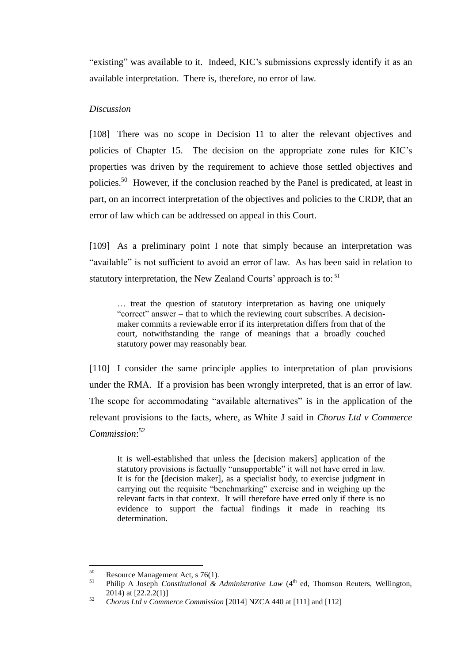"existing" was available to it. Indeed, KIC's submissions expressly identify it as an available interpretation. There is, therefore, no error of law.

### *Discussion*

[108] There was no scope in Decision 11 to alter the relevant objectives and policies of Chapter 15. The decision on the appropriate zone rules for KIC's properties was driven by the requirement to achieve those settled objectives and policies.<sup>50</sup> However, if the conclusion reached by the Panel is predicated, at least in part, on an incorrect interpretation of the objectives and policies to the CRDP, that an error of law which can be addressed on appeal in this Court.

[109] As a preliminary point I note that simply because an interpretation was "available" is not sufficient to avoid an error of law. As has been said in relation to statutory interpretation, the New Zealand Courts' approach is to: <sup>51</sup>

… treat the question of statutory interpretation as having one uniquely "correct" answer – that to which the reviewing court subscribes. A decisionmaker commits a reviewable error if its interpretation differs from that of the court, notwithstanding the range of meanings that a broadly couched statutory power may reasonably bear.

[110] I consider the same principle applies to interpretation of plan provisions under the RMA. If a provision has been wrongly interpreted, that is an error of law. The scope for accommodating "available alternatives" is in the application of the relevant provisions to the facts, where, as White J said in *Chorus Ltd v Commerce Commission*: 52

It is well-established that unless the [decision makers] application of the statutory provisions is factually "unsupportable" it will not have erred in law. It is for the [decision maker], as a specialist body, to exercise judgment in carrying out the requisite "benchmarking" exercise and in weighing up the relevant facts in that context. It will therefore have erred only if there is no evidence to support the factual findings it made in reaching its determination.

<sup>50</sup> <sup>50</sup> Resource Management Act, s 76(1).

Philip A Joseph *Constitutional & Administrative Law* (4<sup>th</sup> ed, Thomson Reuters, Wellington, 2014) at [22.2.2(1)]

<sup>52</sup> *Chorus Ltd v Commerce Commission* [2014] NZCA 440 at [111] and [112]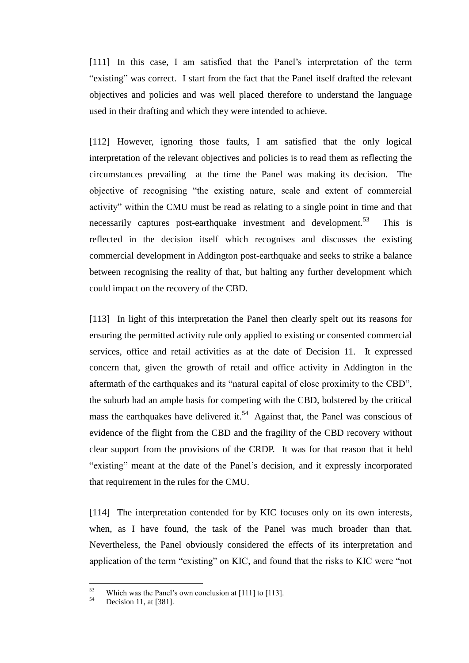[111] In this case, I am satisfied that the Panel's interpretation of the term "existing" was correct. I start from the fact that the Panel itself drafted the relevant objectives and policies and was well placed therefore to understand the language used in their drafting and which they were intended to achieve.

[112] However, ignoring those faults, I am satisfied that the only logical interpretation of the relevant objectives and policies is to read them as reflecting the circumstances prevailing at the time the Panel was making its decision. The objective of recognising "the existing nature, scale and extent of commercial activity" within the CMU must be read as relating to a single point in time and that necessarily captures post-earthquake investment and development.<sup>53</sup> This is reflected in the decision itself which recognises and discusses the existing commercial development in Addington post-earthquake and seeks to strike a balance between recognising the reality of that, but halting any further development which could impact on the recovery of the CBD.

[113] In light of this interpretation the Panel then clearly spelt out its reasons for ensuring the permitted activity rule only applied to existing or consented commercial services, office and retail activities as at the date of Decision 11. It expressed concern that, given the growth of retail and office activity in Addington in the aftermath of the earthquakes and its "natural capital of close proximity to the CBD", the suburb had an ample basis for competing with the CBD, bolstered by the critical mass the earthquakes have delivered it.<sup>54</sup> Against that, the Panel was conscious of evidence of the flight from the CBD and the fragility of the CBD recovery without clear support from the provisions of the CRDP. It was for that reason that it held "existing" meant at the date of the Panel's decision, and it expressly incorporated that requirement in the rules for the CMU.

[114] The interpretation contended for by KIC focuses only on its own interests, when, as I have found, the task of the Panel was much broader than that. Nevertheless, the Panel obviously considered the effects of its interpretation and application of the term "existing" on KIC, and found that the risks to KIC were "not

<sup>53</sup> <sup>53</sup> Which was the Panel's own conclusion at [111] to [113].

Decision 11, at [381].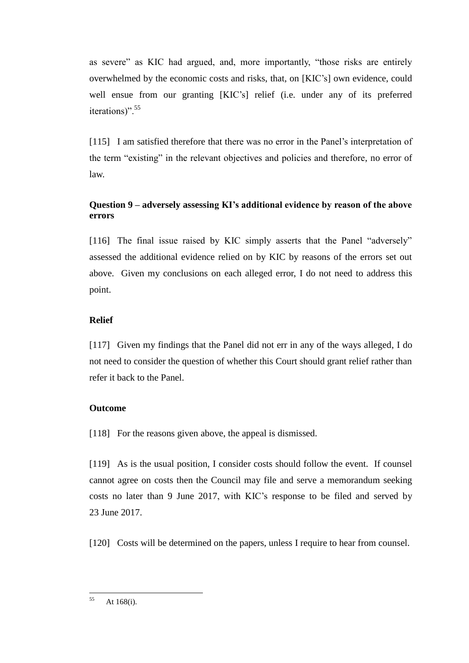as severe" as KIC had argued, and, more importantly, "those risks are entirely overwhelmed by the economic costs and risks, that, on [KIC's] own evidence, could well ensue from our granting [KIC's] relief (i.e. under any of its preferred iterations)".<sup>55</sup>

[115] I am satisfied therefore that there was no error in the Panel's interpretation of the term "existing" in the relevant objectives and policies and therefore, no error of law.

# **Question 9 – adversely assessing KI's additional evidence by reason of the above errors**

[116] The final issue raised by KIC simply asserts that the Panel "adversely" assessed the additional evidence relied on by KIC by reasons of the errors set out above. Given my conclusions on each alleged error, I do not need to address this point.

# **Relief**

[117] Given my findings that the Panel did not err in any of the ways alleged, I do not need to consider the question of whether this Court should grant relief rather than refer it back to the Panel.

# **Outcome**

[118] For the reasons given above, the appeal is dismissed.

[119] As is the usual position, I consider costs should follow the event. If counsel cannot agree on costs then the Council may file and serve a memorandum seeking costs no later than 9 June 2017, with KIC's response to be filed and served by 23 June 2017.

[120] Costs will be determined on the papers, unless I require to hear from counsel.

<sup>55</sup> At 168(i).